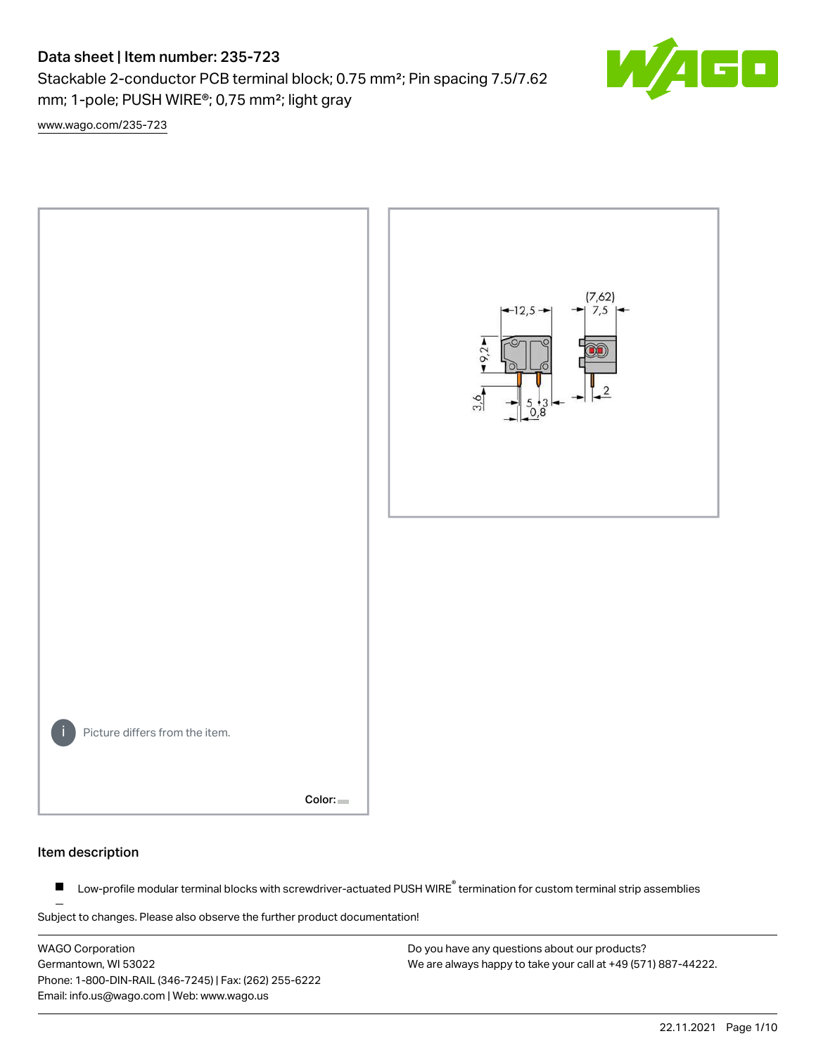Stackable 2-conductor PCB terminal block; 0.75 mm²; Pin spacing 7.5/7.62 mm; 1-pole; PUSH WIRE®; 0,75 mm²; light gray



[www.wago.com/235-723](http://www.wago.com/235-723)



#### Item description

Low-profile modular terminal blocks with screwdriver-actuated PUSH WIRE<sup>®</sup> termination for custom terminal strip assemblies  $\blacksquare$ 

Subject to changes. Please also observe the further product documentation!

WAGO Corporation Germantown, WI 53022 Phone: 1-800-DIN-RAIL (346-7245) | Fax: (262) 255-6222 Email: info.us@wago.com | Web: www.wago.us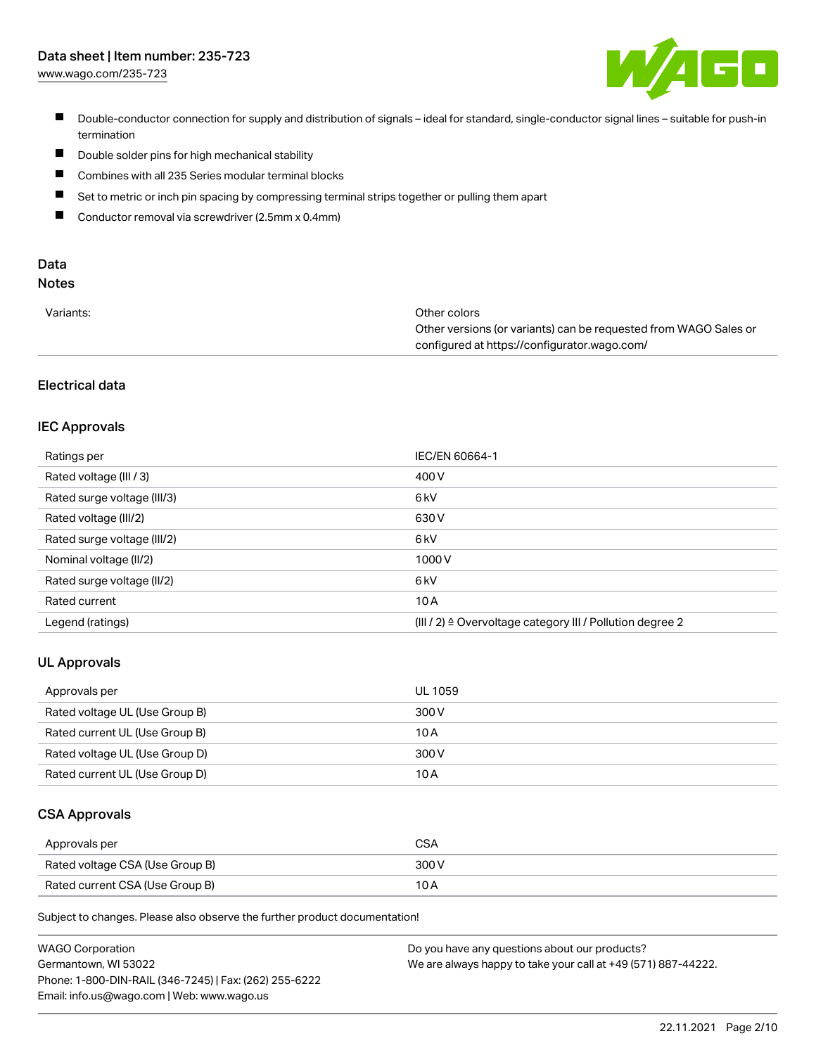[www.wago.com/235-723](http://www.wago.com/235-723)



- Double-conductor connection for supply and distribution of signals ideal for standard, single-conductor signal lines suitable for push-in termination
- $\blacksquare$ Double solder pins for high mechanical stability
- $\blacksquare$ Combines with all 235 Series modular terminal blocks
- $\blacksquare$ Set to metric or inch pin spacing by compressing terminal strips together or pulling them apart
- $\blacksquare$ Conductor removal via screwdriver (2.5mm x 0.4mm)

# Data

# Notes

| Variants: | Other colors                                                     |
|-----------|------------------------------------------------------------------|
|           | Other versions (or variants) can be requested from WAGO Sales or |
|           | configured at https://configurator.wago.com/                     |

## Electrical data

## IEC Approvals

| Ratings per                 | <b>IEC/EN 60664-1</b>                                                 |
|-----------------------------|-----------------------------------------------------------------------|
| Rated voltage (III / 3)     | 400 V                                                                 |
| Rated surge voltage (III/3) | 6 kV                                                                  |
| Rated voltage (III/2)       | 630 V                                                                 |
| Rated surge voltage (III/2) | 6 <sub>k</sub> V                                                      |
| Nominal voltage (II/2)      | 1000V                                                                 |
| Rated surge voltage (II/2)  | 6 <sub>k</sub> V                                                      |
| Rated current               | 10A                                                                   |
| Legend (ratings)            | $(III / 2)$ $\triangle$ Overvoltage category III / Pollution degree 2 |

### UL Approvals

| Approvals per                  | UL 1059 |
|--------------------------------|---------|
| Rated voltage UL (Use Group B) | 300 V   |
| Rated current UL (Use Group B) | 10 A    |
| Rated voltage UL (Use Group D) | 300 V   |
| Rated current UL (Use Group D) | 10 A    |

#### CSA Approvals

| Approvals per                   | <b>CSA</b> |
|---------------------------------|------------|
| Rated voltage CSA (Use Group B) | 300 V      |
| Rated current CSA (Use Group B) | 10 A       |

| <b>WAGO Corporation</b>                                | Do you have any questions about our products?                 |
|--------------------------------------------------------|---------------------------------------------------------------|
| Germantown, WI 53022                                   | We are always happy to take your call at +49 (571) 887-44222. |
| Phone: 1-800-DIN-RAIL (346-7245)   Fax: (262) 255-6222 |                                                               |
| Email: info.us@wago.com   Web: www.wago.us             |                                                               |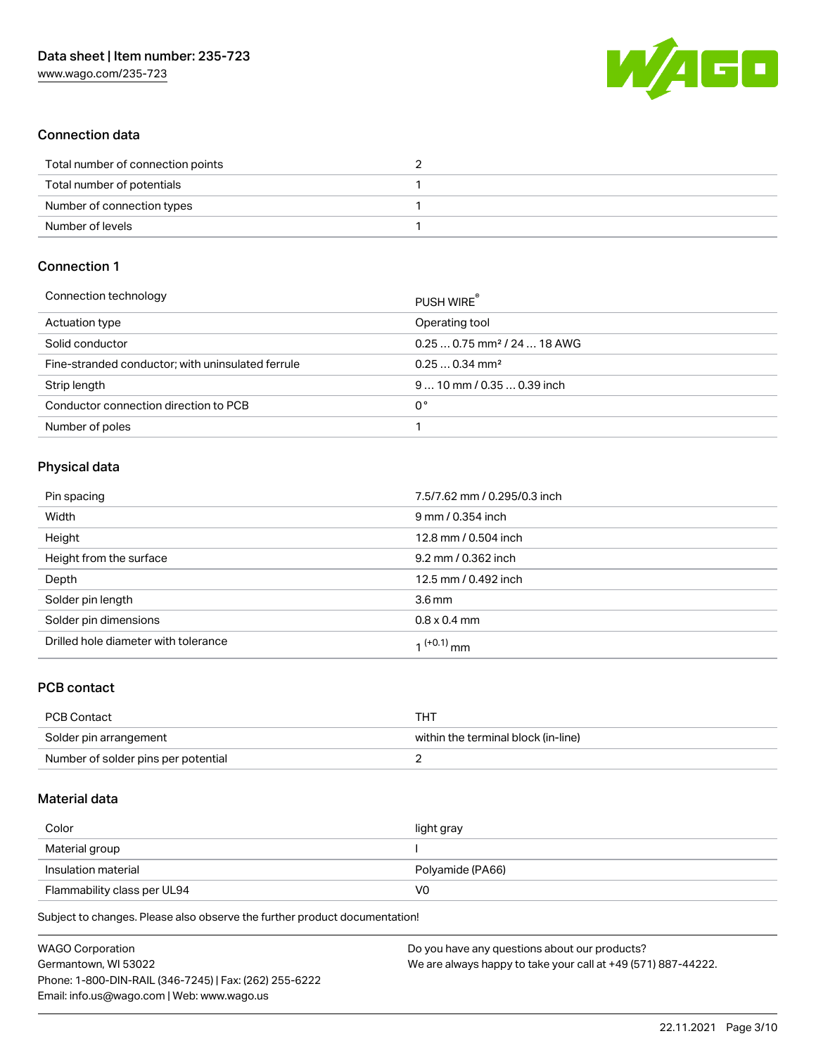

## Connection data

| Total number of connection points |  |
|-----------------------------------|--|
| Total number of potentials        |  |
| Number of connection types        |  |
| Number of levels                  |  |

## Connection 1

| Connection technology                             | PUSH WIRE                               |
|---------------------------------------------------|-----------------------------------------|
| Actuation type                                    | Operating tool                          |
| Solid conductor                                   | $0.250.75$ mm <sup>2</sup> / 24  18 AWG |
| Fine-stranded conductor; with uninsulated ferrule | $0.250.34$ mm <sup>2</sup>              |
| Strip length                                      | $910$ mm / 0.35  0.39 inch              |
| Conductor connection direction to PCB             | 0°                                      |
| Number of poles                                   |                                         |

## Physical data

| Pin spacing                          | 7.5/7.62 mm / 0.295/0.3 inch |
|--------------------------------------|------------------------------|
| Width                                | 9 mm / 0.354 inch            |
| Height                               | 12.8 mm / 0.504 inch         |
| Height from the surface              | 9.2 mm / 0.362 inch          |
| Depth                                | 12.5 mm / 0.492 inch         |
| Solder pin length                    | 3.6 <sub>mm</sub>            |
| Solder pin dimensions                | $0.8 \times 0.4$ mm          |
| Drilled hole diameter with tolerance | 1 <sup>(+0.1)</sup> mm       |

### PCB contact

| <b>PCB Contact</b>                  | THT                                 |
|-------------------------------------|-------------------------------------|
| Solder pin arrangement              | within the terminal block (in-line) |
| Number of solder pins per potential |                                     |

## Material data

| Color                       | light gray       |
|-----------------------------|------------------|
| Material group              |                  |
| Insulation material         | Polyamide (PA66) |
| Flammability class per UL94 | V0               |

| <b>WAGO Corporation</b>                                | Do you have any questions about our products?                 |
|--------------------------------------------------------|---------------------------------------------------------------|
| Germantown, WI 53022                                   | We are always happy to take your call at +49 (571) 887-44222. |
| Phone: 1-800-DIN-RAIL (346-7245)   Fax: (262) 255-6222 |                                                               |
| Email: info.us@wago.com   Web: www.wago.us             |                                                               |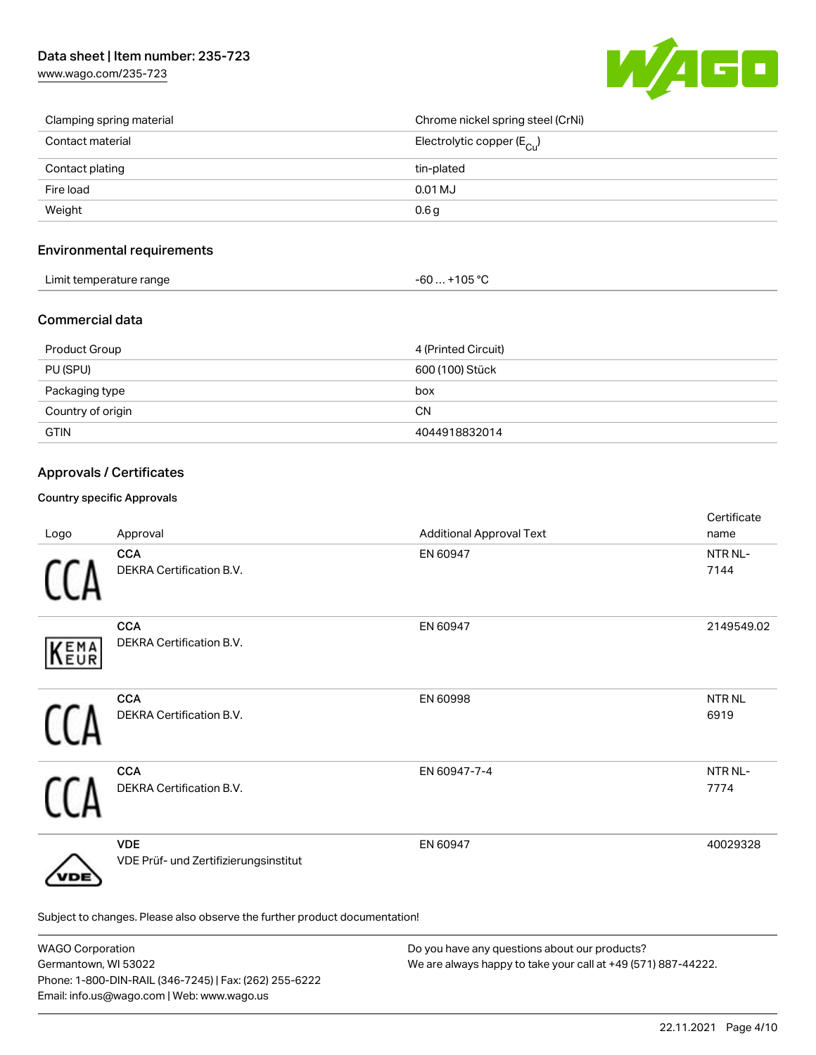

| Clamping spring material | Chrome nickel spring steel (CrNi)     |
|--------------------------|---------------------------------------|
| Contact material         | Electrolytic copper $(E_{\text{Cu}})$ |
| Contact plating          | tin-plated                            |
| Fire load                | 0.01 MJ                               |
| Weight                   | 0.6 <sub>g</sub>                      |

## Environmental requirements

| .<br>Limit temperature range<br>. . | 105.0C<br>TUE<br>JU<br>. . |  |
|-------------------------------------|----------------------------|--|
|-------------------------------------|----------------------------|--|

### Commercial data

| Product Group     | 4 (Printed Circuit) |
|-------------------|---------------------|
| PU (SPU)          | 600 (100) Stück     |
| Packaging type    | box                 |
| Country of origin | <b>CN</b>           |
| <b>GTIN</b>       | 4044918832014       |

## Approvals / Certificates

#### Country specific Approvals

| Logo        | Approval                                                                   | <b>Additional Approval Text</b> | Certificate<br>name         |
|-------------|----------------------------------------------------------------------------|---------------------------------|-----------------------------|
|             | <b>CCA</b><br>DEKRA Certification B.V.                                     | EN 60947                        | NTR NL-<br>7144             |
| <b>KEMA</b> | <b>CCA</b><br>DEKRA Certification B.V.                                     | EN 60947                        | 2149549.02                  |
|             | <b>CCA</b><br>DEKRA Certification B.V.                                     | EN 60998                        | <b>NTRNL</b><br>6919        |
|             | <b>CCA</b><br>DEKRA Certification B.V.                                     | EN 60947-7-4                    | NTR <sub>NL</sub> -<br>7774 |
| DE          | <b>VDE</b><br>VDE Prüf- und Zertifizierungsinstitut                        | EN 60947                        | 40029328                    |
|             | Subject to changes. Please also observe the further product documentation! |                                 |                             |

| <b>WAGO Corporation</b>                                | Do you have any questions about our products?                 |
|--------------------------------------------------------|---------------------------------------------------------------|
| Germantown, WI 53022                                   | We are always happy to take your call at +49 (571) 887-44222. |
| Phone: 1-800-DIN-RAIL (346-7245)   Fax: (262) 255-6222 |                                                               |
| Email: info.us@wago.com   Web: www.wago.us             |                                                               |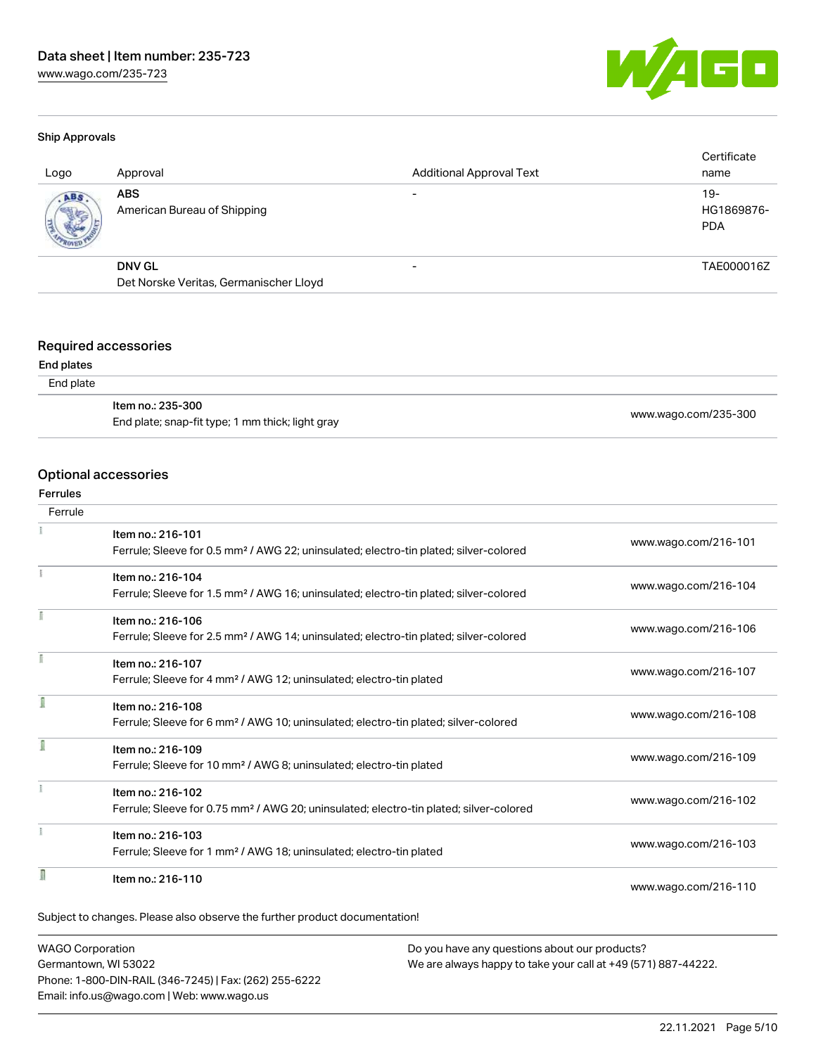

#### Ship Approvals

| Logo | Approval                                                | <b>Additional Approval Text</b> | Certificate<br>name               |
|------|---------------------------------------------------------|---------------------------------|-----------------------------------|
| ABS  | <b>ABS</b><br>American Bureau of Shipping               |                                 | $19-$<br>HG1869876-<br><b>PDA</b> |
|      | <b>DNV GL</b><br>Det Norske Veritas, Germanischer Lloyd |                                 | TAE000016Z                        |
|      |                                                         |                                 |                                   |

## Required accessories

#### End plates

| End plate |  |
|-----------|--|
|-----------|--|

| ltem no.: 235-300                                |                      |
|--------------------------------------------------|----------------------|
| End plate; snap-fit type; 1 mm thick; light gray | www.wago.com/235-300 |

#### Optional accessories

#### Ferrules

| Ferrule |                                                                                                    |                      |
|---------|----------------------------------------------------------------------------------------------------|----------------------|
|         | Item no.: 216-101                                                                                  |                      |
|         | Ferrule; Sleeve for 0.5 mm <sup>2</sup> / AWG 22; uninsulated; electro-tin plated; silver-colored  | www.wago.com/216-101 |
|         | Item no.: 216-104                                                                                  |                      |
|         | Ferrule; Sleeve for 1.5 mm <sup>2</sup> / AWG 16; uninsulated; electro-tin plated; silver-colored  | www.wago.com/216-104 |
|         | Item no.: 216-106                                                                                  |                      |
|         | Ferrule; Sleeve for 2.5 mm <sup>2</sup> / AWG 14; uninsulated; electro-tin plated; silver-colored  | www.wago.com/216-106 |
|         | Item no.: 216-107                                                                                  |                      |
|         | Ferrule; Sleeve for 4 mm <sup>2</sup> / AWG 12; uninsulated; electro-tin plated                    | www.wago.com/216-107 |
|         | Item no.: 216-108                                                                                  |                      |
|         | Ferrule; Sleeve for 6 mm <sup>2</sup> / AWG 10; uninsulated; electro-tin plated; silver-colored    | www.wago.com/216-108 |
|         | Item no.: 216-109                                                                                  |                      |
|         | Ferrule; Sleeve for 10 mm <sup>2</sup> / AWG 8; uninsulated; electro-tin plated                    | www.wago.com/216-109 |
|         | Item no.: 216-102                                                                                  |                      |
|         | Ferrule; Sleeve for 0.75 mm <sup>2</sup> / AWG 20; uninsulated; electro-tin plated; silver-colored | www.wago.com/216-102 |
|         | Item no.: 216-103                                                                                  |                      |
|         | Ferrule; Sleeve for 1 mm <sup>2</sup> / AWG 18; uninsulated; electro-tin plated                    | www.wago.com/216-103 |
|         | Item no.: 216-110                                                                                  |                      |
|         |                                                                                                    | www.wago.com/216-110 |

WAGO Corporation Germantown, WI 53022 Phone: 1-800-DIN-RAIL (346-7245) | Fax: (262) 255-6222 Email: info.us@wago.com | Web: www.wago.us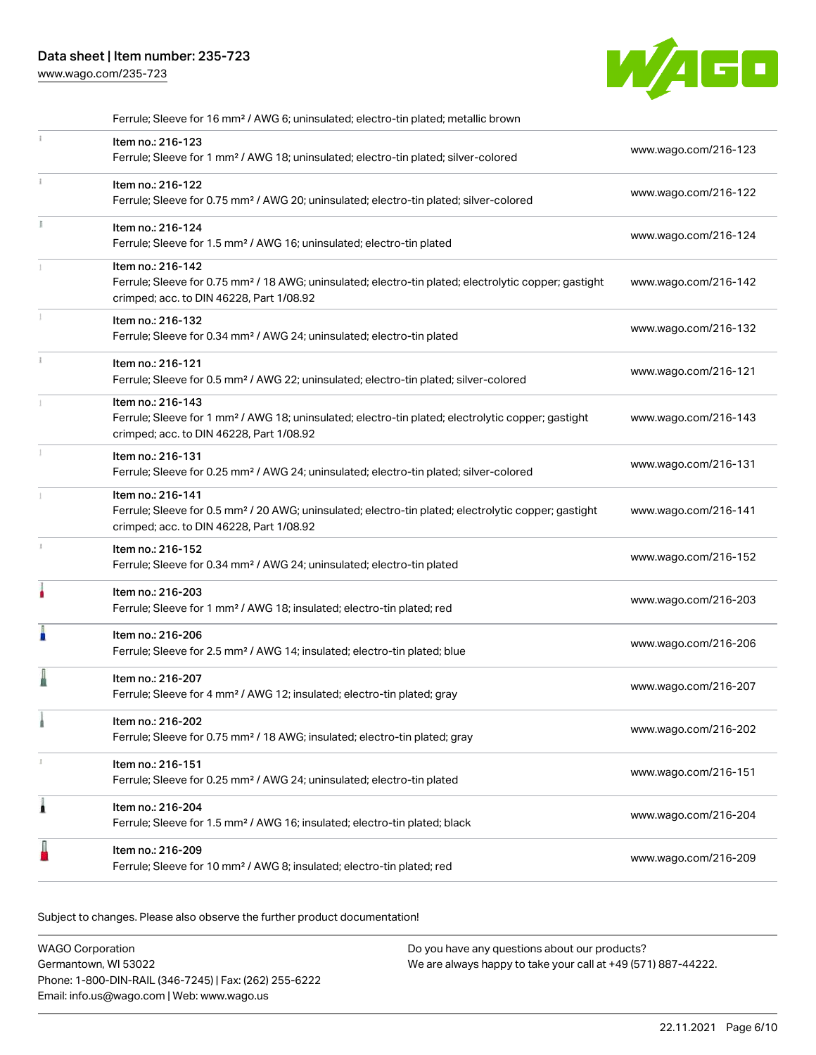[www.wago.com/235-723](http://www.wago.com/235-723)



|    | Ferrule; Sleeve for 16 mm <sup>2</sup> / AWG 6; uninsulated; electro-tin plated; metallic brown                                                                                    |                      |
|----|------------------------------------------------------------------------------------------------------------------------------------------------------------------------------------|----------------------|
| Î. | Item no.: 216-123<br>Ferrule; Sleeve for 1 mm <sup>2</sup> / AWG 18; uninsulated; electro-tin plated; silver-colored                                                               | www.wago.com/216-123 |
| Î. | Item no.: 216-122<br>Ferrule; Sleeve for 0.75 mm <sup>2</sup> / AWG 20; uninsulated; electro-tin plated; silver-colored                                                            | www.wago.com/216-122 |
|    | Item no.: 216-124<br>Ferrule; Sleeve for 1.5 mm <sup>2</sup> / AWG 16; uninsulated; electro-tin plated                                                                             | www.wago.com/216-124 |
|    | Item no.: 216-142<br>Ferrule; Sleeve for 0.75 mm <sup>2</sup> / 18 AWG; uninsulated; electro-tin plated; electrolytic copper; gastight<br>crimped; acc. to DIN 46228, Part 1/08.92 | www.wago.com/216-142 |
|    | Item no.: 216-132<br>Ferrule; Sleeve for 0.34 mm <sup>2</sup> / AWG 24; uninsulated; electro-tin plated                                                                            | www.wago.com/216-132 |
| Î. | Item no.: 216-121<br>Ferrule; Sleeve for 0.5 mm <sup>2</sup> / AWG 22; uninsulated; electro-tin plated; silver-colored                                                             | www.wago.com/216-121 |
|    | Item no.: 216-143<br>Ferrule; Sleeve for 1 mm <sup>2</sup> / AWG 18; uninsulated; electro-tin plated; electrolytic copper; gastight<br>crimped; acc. to DIN 46228, Part 1/08.92    | www.wago.com/216-143 |
|    | Item no.: 216-131<br>Ferrule; Sleeve for 0.25 mm <sup>2</sup> / AWG 24; uninsulated; electro-tin plated; silver-colored                                                            | www.wago.com/216-131 |
|    | Item no.: 216-141<br>Ferrule; Sleeve for 0.5 mm <sup>2</sup> / 20 AWG; uninsulated; electro-tin plated; electrolytic copper; gastight<br>crimped; acc. to DIN 46228, Part 1/08.92  | www.wago.com/216-141 |
| ı. | Item no.: 216-152<br>Ferrule; Sleeve for 0.34 mm <sup>2</sup> / AWG 24; uninsulated; electro-tin plated                                                                            | www.wago.com/216-152 |
|    | Item no.: 216-203<br>Ferrule; Sleeve for 1 mm <sup>2</sup> / AWG 18; insulated; electro-tin plated; red                                                                            | www.wago.com/216-203 |
| I  | Item no.: 216-206<br>Ferrule; Sleeve for 2.5 mm <sup>2</sup> / AWG 14; insulated; electro-tin plated; blue                                                                         | www.wago.com/216-206 |
| I  | Item no.: 216-207<br>Ferrule; Sleeve for 4 mm <sup>2</sup> / AWG 12; insulated; electro-tin plated; gray                                                                           | www.wago.com/216-207 |
|    | Item no.: 216-202<br>Ferrule; Sleeve for 0.75 mm <sup>2</sup> / 18 AWG; insulated; electro-tin plated; gray                                                                        | www.wago.com/216-202 |
|    | Item no.: 216-151<br>Ferrule; Sleeve for 0.25 mm <sup>2</sup> / AWG 24; uninsulated; electro-tin plated                                                                            | www.wago.com/216-151 |
| Â  | Item no.: 216-204<br>Ferrule; Sleeve for 1.5 mm <sup>2</sup> / AWG 16; insulated; electro-tin plated; black                                                                        | www.wago.com/216-204 |
|    | Item no.: 216-209<br>Ferrule; Sleeve for 10 mm <sup>2</sup> / AWG 8; insulated; electro-tin plated; red                                                                            | www.wago.com/216-209 |

| <b>WAGO Corporation</b>                                | Do you have any questions about our products?                 |
|--------------------------------------------------------|---------------------------------------------------------------|
| Germantown, WI 53022                                   | We are always happy to take your call at +49 (571) 887-44222. |
| Phone: 1-800-DIN-RAIL (346-7245)   Fax: (262) 255-6222 |                                                               |
| Email: info.us@wago.com   Web: www.wago.us             |                                                               |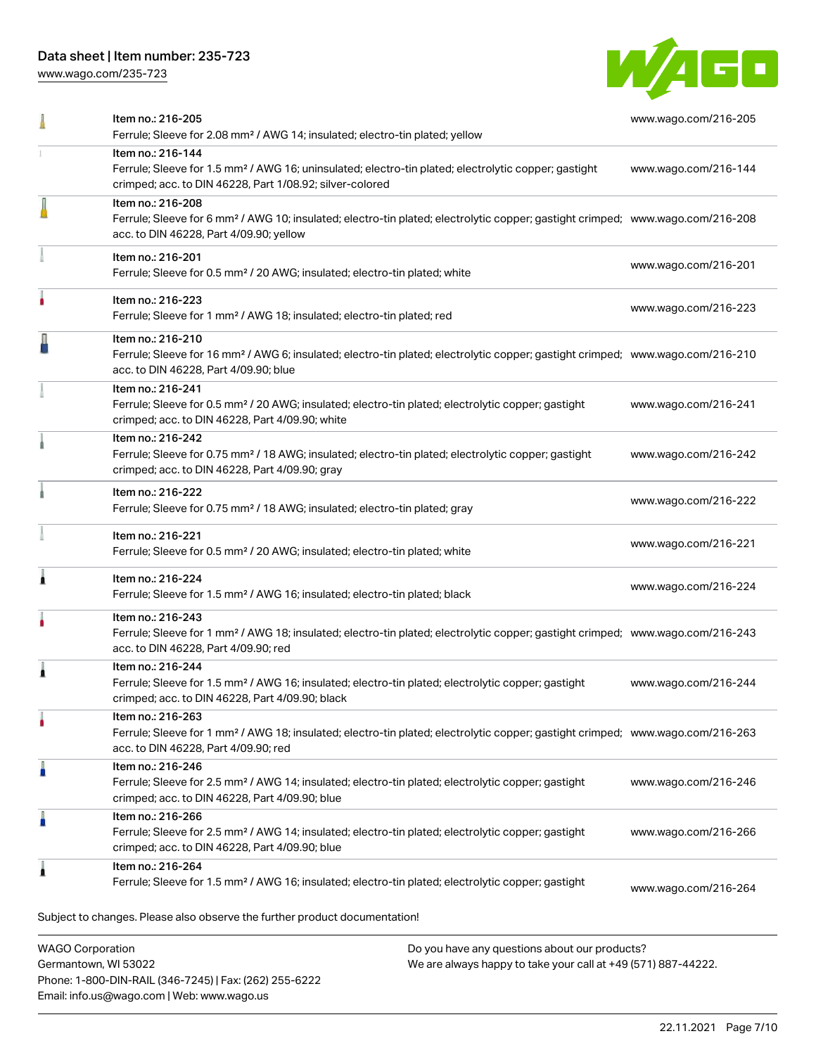Phone: 1-800-DIN-RAIL (346-7245) | Fax: (262) 255-6222

Email: info.us@wago.com | Web: www.wago.us

[www.wago.com/235-723](http://www.wago.com/235-723)



|                                                 | Item no.: 216-205<br>Ferrule; Sleeve for 2.08 mm <sup>2</sup> / AWG 14; insulated; electro-tin plated; yellow                                                                                              |                                                                                                                | www.wago.com/216-205 |
|-------------------------------------------------|------------------------------------------------------------------------------------------------------------------------------------------------------------------------------------------------------------|----------------------------------------------------------------------------------------------------------------|----------------------|
|                                                 | Item no.: 216-144<br>Ferrule; Sleeve for 1.5 mm <sup>2</sup> / AWG 16; uninsulated; electro-tin plated; electrolytic copper; gastight<br>crimped; acc. to DIN 46228, Part 1/08.92; silver-colored          |                                                                                                                | www.wago.com/216-144 |
|                                                 | Item no.: 216-208<br>Ferrule; Sleeve for 6 mm <sup>2</sup> / AWG 10; insulated; electro-tin plated; electrolytic copper; gastight crimped; www.wago.com/216-208<br>acc. to DIN 46228, Part 4/09.90; yellow |                                                                                                                |                      |
|                                                 | Item no.: 216-201<br>Ferrule; Sleeve for 0.5 mm <sup>2</sup> / 20 AWG; insulated; electro-tin plated; white                                                                                                |                                                                                                                | www.wago.com/216-201 |
|                                                 | Item no.: 216-223<br>Ferrule; Sleeve for 1 mm <sup>2</sup> / AWG 18; insulated; electro-tin plated; red                                                                                                    |                                                                                                                | www.wago.com/216-223 |
|                                                 | Item no.: 216-210<br>Ferrule; Sleeve for 16 mm <sup>2</sup> / AWG 6; insulated; electro-tin plated; electrolytic copper; gastight crimped; www.wago.com/216-210<br>acc. to DIN 46228, Part 4/09.90; blue   |                                                                                                                |                      |
|                                                 | Item no.: 216-241<br>Ferrule; Sleeve for 0.5 mm <sup>2</sup> / 20 AWG; insulated; electro-tin plated; electrolytic copper; gastight<br>crimped; acc. to DIN 46228, Part 4/09.90; white                     |                                                                                                                | www.wago.com/216-241 |
|                                                 | Item no.: 216-242<br>Ferrule; Sleeve for 0.75 mm <sup>2</sup> / 18 AWG; insulated; electro-tin plated; electrolytic copper; gastight<br>crimped; acc. to DIN 46228, Part 4/09.90; gray                     |                                                                                                                | www.wago.com/216-242 |
|                                                 | Item no.: 216-222<br>Ferrule; Sleeve for 0.75 mm <sup>2</sup> / 18 AWG; insulated; electro-tin plated; gray                                                                                                |                                                                                                                | www.wago.com/216-222 |
|                                                 | Item no.: 216-221<br>Ferrule; Sleeve for 0.5 mm <sup>2</sup> / 20 AWG; insulated; electro-tin plated; white                                                                                                |                                                                                                                | www.wago.com/216-221 |
|                                                 | Item no.: 216-224<br>Ferrule; Sleeve for 1.5 mm <sup>2</sup> / AWG 16; insulated; electro-tin plated; black                                                                                                |                                                                                                                | www.wago.com/216-224 |
|                                                 | Item no.: 216-243<br>Ferrule; Sleeve for 1 mm <sup>2</sup> / AWG 18; insulated; electro-tin plated; electrolytic copper; gastight crimped; www.wago.com/216-243<br>acc. to DIN 46228, Part 4/09.90; red    |                                                                                                                |                      |
|                                                 | Item no.: 216-244<br>Ferrule; Sleeve for 1.5 mm <sup>2</sup> / AWG 16; insulated; electro-tin plated; electrolytic copper; gastight<br>crimped; acc. to DIN 46228, Part 4/09.90; black                     |                                                                                                                | www.wago.com/216-244 |
|                                                 | Item no.: 216-263<br>Ferrule; Sleeve for 1 mm <sup>2</sup> / AWG 18; insulated; electro-tin plated; electrolytic copper; gastight crimped; www.wago.com/216-263<br>acc. to DIN 46228, Part 4/09.90; red    |                                                                                                                |                      |
|                                                 | Item no.: 216-246<br>Ferrule; Sleeve for 2.5 mm <sup>2</sup> / AWG 14; insulated; electro-tin plated; electrolytic copper; gastight<br>crimped; acc. to DIN 46228, Part 4/09.90; blue                      |                                                                                                                | www.wago.com/216-246 |
|                                                 | Item no.: 216-266<br>Ferrule; Sleeve for 2.5 mm <sup>2</sup> / AWG 14; insulated; electro-tin plated; electrolytic copper; gastight<br>crimped; acc. to DIN 46228, Part 4/09.90; blue                      |                                                                                                                | www.wago.com/216-266 |
|                                                 | Item no.: 216-264<br>Ferrule; Sleeve for 1.5 mm <sup>2</sup> / AWG 16; insulated; electro-tin plated; electrolytic copper; gastight                                                                        |                                                                                                                | www.wago.com/216-264 |
|                                                 | Subject to changes. Please also observe the further product documentation!                                                                                                                                 |                                                                                                                |                      |
| <b>WAGO Corporation</b><br>Germantown, WI 53022 |                                                                                                                                                                                                            | Do you have any questions about our products?<br>We are always happy to take your call at +49 (571) 887-44222. |                      |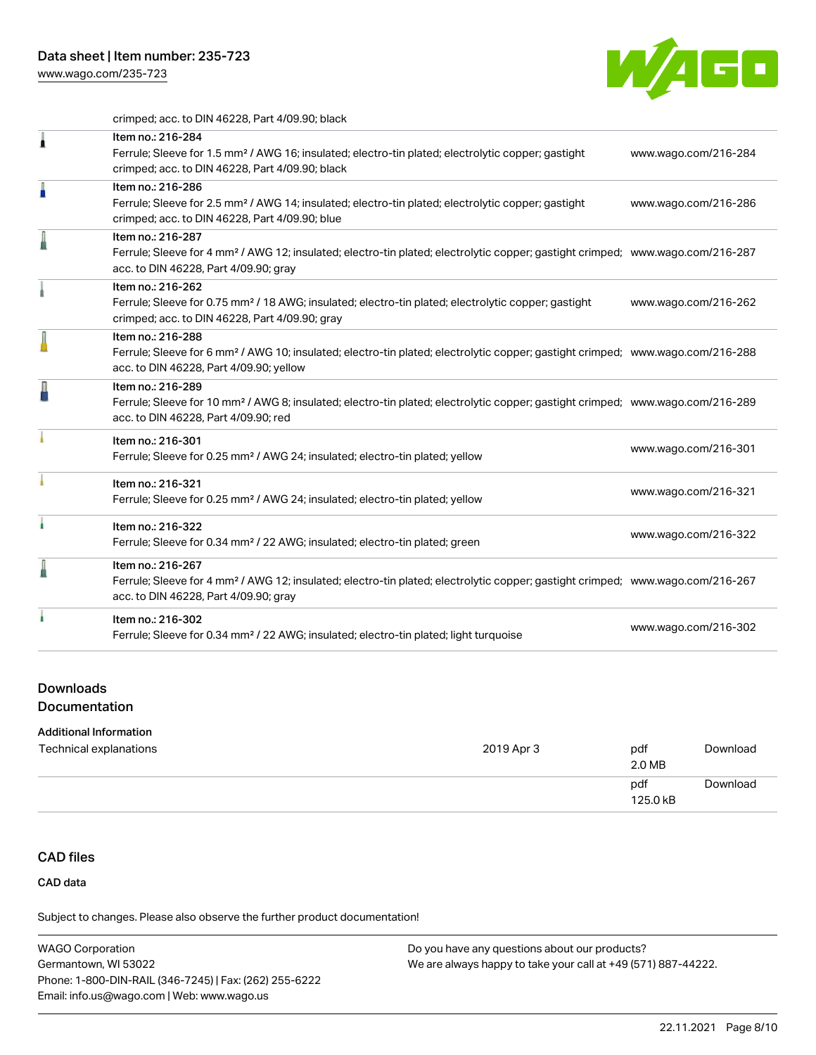

crimped; acc. to DIN 46228, Part 4/09.90; black

| 1 | Item no.: 216-284<br>Ferrule; Sleeve for 1.5 mm <sup>2</sup> / AWG 16; insulated; electro-tin plated; electrolytic copper; gastight<br>crimped; acc. to DIN 46228, Part 4/09.90; black                     | www.wago.com/216-284 |
|---|------------------------------------------------------------------------------------------------------------------------------------------------------------------------------------------------------------|----------------------|
|   | Item no.: 216-286<br>Ferrule; Sleeve for 2.5 mm <sup>2</sup> / AWG 14; insulated; electro-tin plated; electrolytic copper; gastight<br>crimped; acc. to DIN 46228, Part 4/09.90; blue                      | www.wago.com/216-286 |
| I | Item no.: 216-287<br>Ferrule; Sleeve for 4 mm <sup>2</sup> / AWG 12; insulated; electro-tin plated; electrolytic copper; gastight crimped; www.wago.com/216-287<br>acc. to DIN 46228, Part 4/09.90; gray   |                      |
|   | Item no.: 216-262<br>Ferrule; Sleeve for 0.75 mm <sup>2</sup> / 18 AWG; insulated; electro-tin plated; electrolytic copper; gastight<br>crimped; acc. to DIN 46228, Part 4/09.90; gray                     | www.wago.com/216-262 |
|   | Item no.: 216-288<br>Ferrule; Sleeve for 6 mm <sup>2</sup> / AWG 10; insulated; electro-tin plated; electrolytic copper; gastight crimped; www.wago.com/216-288<br>acc. to DIN 46228, Part 4/09.90; yellow |                      |
| Д | Item no.: 216-289<br>Ferrule; Sleeve for 10 mm <sup>2</sup> / AWG 8; insulated; electro-tin plated; electrolytic copper; gastight crimped; www.wago.com/216-289<br>acc. to DIN 46228, Part 4/09.90; red    |                      |
|   | Item no.: 216-301<br>Ferrule; Sleeve for 0.25 mm <sup>2</sup> / AWG 24; insulated; electro-tin plated; yellow                                                                                              | www.wago.com/216-301 |
|   | Item no.: 216-321<br>Ferrule; Sleeve for 0.25 mm <sup>2</sup> / AWG 24; insulated; electro-tin plated; yellow                                                                                              | www.wago.com/216-321 |
|   | Item no.: 216-322<br>Ferrule; Sleeve for 0.34 mm <sup>2</sup> / 22 AWG; insulated; electro-tin plated; green                                                                                               | www.wago.com/216-322 |
|   | Item no.: 216-267<br>Ferrule; Sleeve for 4 mm <sup>2</sup> / AWG 12; insulated; electro-tin plated; electrolytic copper; gastight crimped; www.wago.com/216-267<br>acc. to DIN 46228, Part 4/09.90; gray   |                      |
| ٠ | Item no.: 216-302<br>Ferrule; Sleeve for 0.34 mm <sup>2</sup> / 22 AWG; insulated; electro-tin plated; light turquoise                                                                                     | www.wago.com/216-302 |

#### Downloads

**Documentation** 

#### Additional Information

| Technical explanations | 2019 Apr 3 | pdf<br>2.0 MB   | Download |
|------------------------|------------|-----------------|----------|
|                        |            | pdf<br>125.0 kB | Download |

## CAD files

CAD data

| <b>WAGO Corporation</b>                                | Do you have any questions about our products?                 |
|--------------------------------------------------------|---------------------------------------------------------------|
| Germantown, WI 53022                                   | We are always happy to take your call at +49 (571) 887-44222. |
| Phone: 1-800-DIN-RAIL (346-7245)   Fax: (262) 255-6222 |                                                               |
| Email: info.us@wago.com   Web: www.wago.us             |                                                               |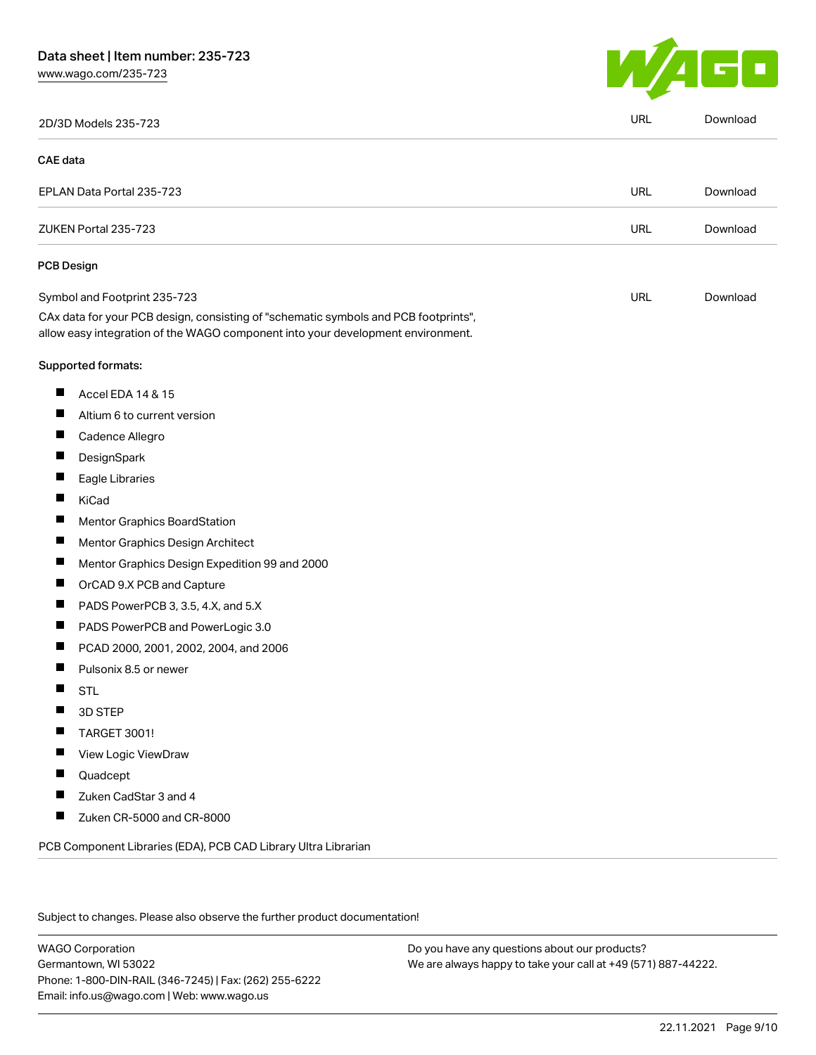

|                   | 2D/3D Models 235-723                                                                                                                                                   | URL        | Download |
|-------------------|------------------------------------------------------------------------------------------------------------------------------------------------------------------------|------------|----------|
| <b>CAE</b> data   |                                                                                                                                                                        |            |          |
|                   | EPLAN Data Portal 235-723                                                                                                                                              | URL        | Download |
|                   | ZUKEN Portal 235-723                                                                                                                                                   | <b>URL</b> | Download |
| <b>PCB Design</b> |                                                                                                                                                                        |            |          |
|                   | Symbol and Footprint 235-723                                                                                                                                           | URL        | Download |
|                   | CAx data for your PCB design, consisting of "schematic symbols and PCB footprints",<br>allow easy integration of the WAGO component into your development environment. |            |          |
|                   | Supported formats:                                                                                                                                                     |            |          |
| ш                 | Accel EDA 14 & 15                                                                                                                                                      |            |          |
| П                 | Altium 6 to current version                                                                                                                                            |            |          |
| $\blacksquare$    | Cadence Allegro                                                                                                                                                        |            |          |
|                   | DesignSpark                                                                                                                                                            |            |          |
| ш                 | Eagle Libraries                                                                                                                                                        |            |          |
| П                 | KiCad                                                                                                                                                                  |            |          |
|                   | Mentor Graphics BoardStation                                                                                                                                           |            |          |
| Ш                 | Mentor Graphics Design Architect                                                                                                                                       |            |          |
| ш                 | Mentor Graphics Design Expedition 99 and 2000                                                                                                                          |            |          |
|                   | OrCAD 9.X PCB and Capture                                                                                                                                              |            |          |
|                   | PADS PowerPCB 3, 3.5, 4.X, and 5.X                                                                                                                                     |            |          |
| Ш                 | PADS PowerPCB and PowerLogic 3.0                                                                                                                                       |            |          |
| ш                 | PCAD 2000, 2001, 2002, 2004, and 2006                                                                                                                                  |            |          |
|                   | Pulsonix 8.5 or newer                                                                                                                                                  |            |          |
| ш                 | <b>STL</b>                                                                                                                                                             |            |          |
| Ш                 | 3D STEP                                                                                                                                                                |            |          |
|                   | <b>TARGET 3001!</b>                                                                                                                                                    |            |          |
|                   | View Logic ViewDraw                                                                                                                                                    |            |          |
| Ш                 | Quadcept                                                                                                                                                               |            |          |
|                   | Zuken CadStar 3 and 4                                                                                                                                                  |            |          |
|                   | Zuken CR-5000 and CR-8000                                                                                                                                              |            |          |
|                   | PCB Component Libraries (EDA), PCB CAD Library Ultra Librarian                                                                                                         |            |          |

Subject to changes. Please also observe the further product documentation!

WAGO Corporation Germantown, WI 53022 Phone: 1-800-DIN-RAIL (346-7245) | Fax: (262) 255-6222 Email: info.us@wago.com | Web: www.wago.us